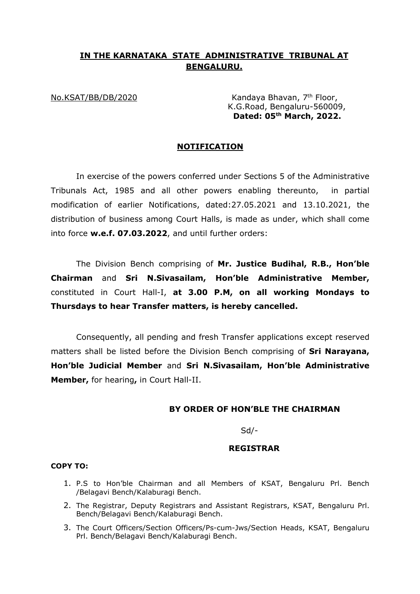# **IN THE KARNATAKA STATE ADMINISTRATIVE TRIBUNAL AT BENGALURU.**

No.KSAT/BB/DB/2020 Kandaya Bhavan, 7<sup>th</sup> Floor, K.G.Road, Bengaluru-560009, **Dated: 05th March, 2022.** 

### **NOTIFICATION**

In exercise of the powers conferred under Sections 5 of the Administrative Tribunals Act, 1985 and all other powers enabling thereunto, in partial modification of earlier Notifications, dated:27.05.2021 and 13.10.2021, the distribution of business among Court Halls, is made as under, which shall come into force **w.e.f. 07.03.2022**, and until further orders:

The Division Bench comprising of **Mr. Justice Budihal, R.B., Hon'ble Chairman** and **Sri N.Sivasailam, Hon'ble Administrative Member,**  constituted in Court Hall-I, **at 3.00 P.M, on all working Mondays to Thursdays to hear Transfer matters, is hereby cancelled.** 

Consequently, all pending and fresh Transfer applications except reserved matters shall be listed before the Division Bench comprising of **Sri Narayana, Hon'ble Judicial Member** and **Sri N.Sivasailam, Hon'ble Administrative Member,** for hearing**,** in Court Hall-II.

### **BY ORDER OF HON'BLE THE CHAIRMAN**

Sd/-

## **REGISTRAR**

#### **COPY TO:**

- 1. P.S to Hon'ble Chairman and all Members of KSAT, Bengaluru Prl. Bench /Belagavi Bench/Kalaburagi Bench.
- 2. The Registrar, Deputy Registrars and Assistant Registrars, KSAT, Bengaluru Prl. Bench/Belagavi Bench/Kalaburagi Bench.
- 3. The Court Officers/Section Officers/Ps-cum-Jws/Section Heads, KSAT, Bengaluru Prl. Bench/Belagavi Bench/Kalaburagi Bench.